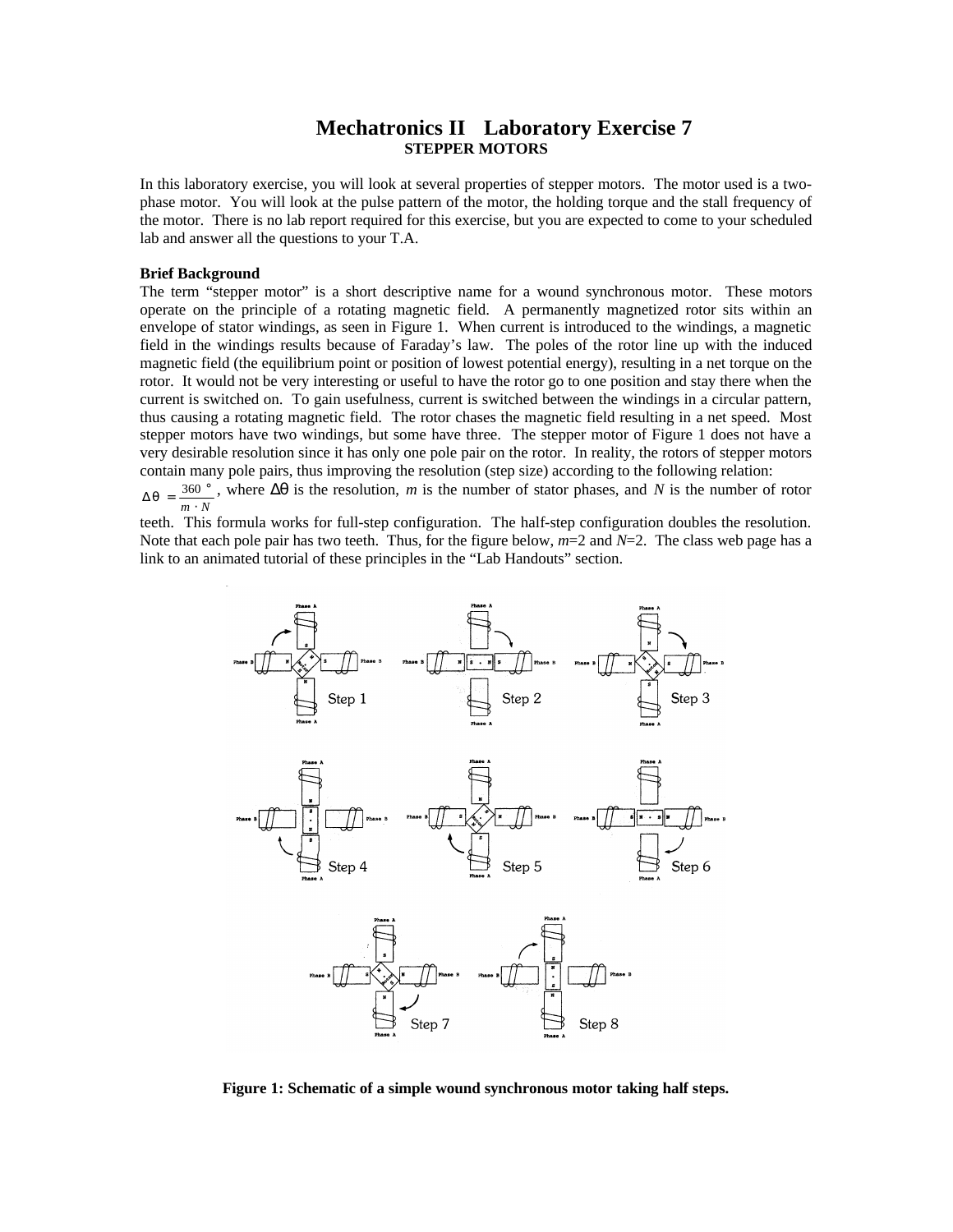## **Mechatronics II Laboratory Exercise 7 STEPPER MOTORS**

In this laboratory exercise, you will look at several properties of stepper motors. The motor used is a twophase motor. You will look at the pulse pattern of the motor, the holding torque and the stall frequency of the motor. There is no lab report required for this exercise, but you are expected to come to your scheduled lab and answer all the questions to your T.A.

## **Brief Background**

The term "stepper motor" is a short descriptive name for a wound synchronous motor. These motors operate on the principle of a rotating magnetic field. A permanently magnetized rotor sits within an envelope of stator windings, as seen in Figure 1. When current is introduced to the windings, a magnetic field in the windings results because of Faraday's law. The poles of the rotor line up with the induced magnetic field (the equilibrium point or position of lowest potential energy), resulting in a net torque on the rotor. It would not be very interesting or useful to have the rotor go to one position and stay there when the current is switched on. To gain usefulness, current is switched between the windings in a circular pattern, thus causing a rotating magnetic field. The rotor chases the magnetic field resulting in a net speed. Most stepper motors have two windings, but some have three. The stepper motor of Figure 1 does not have a very desirable resolution since it has only one pole pair on the rotor. In reality, the rotors of stepper motors contain many pole pairs, thus improving the resolution (step size) according to the following relation:

 $\frac{m \cdot N}{m}$  $\Delta q = \frac{360^{\circ}}{9}$ , where  $\Delta q$  is the resolution, *m* is the number of stator phases, and *N* is the number of rotor

teeth. This formula works for full-step configuration. The half-step configuration doubles the resolution. Note that each pole pair has two teeth. Thus, for the figure below,  $m=2$  and  $N=2$ . The class web page has a link to an animated tutorial of these principles in the "Lab Handouts" section.



**Figure 1: Schematic of a simple wound synchronous motor taking half steps.**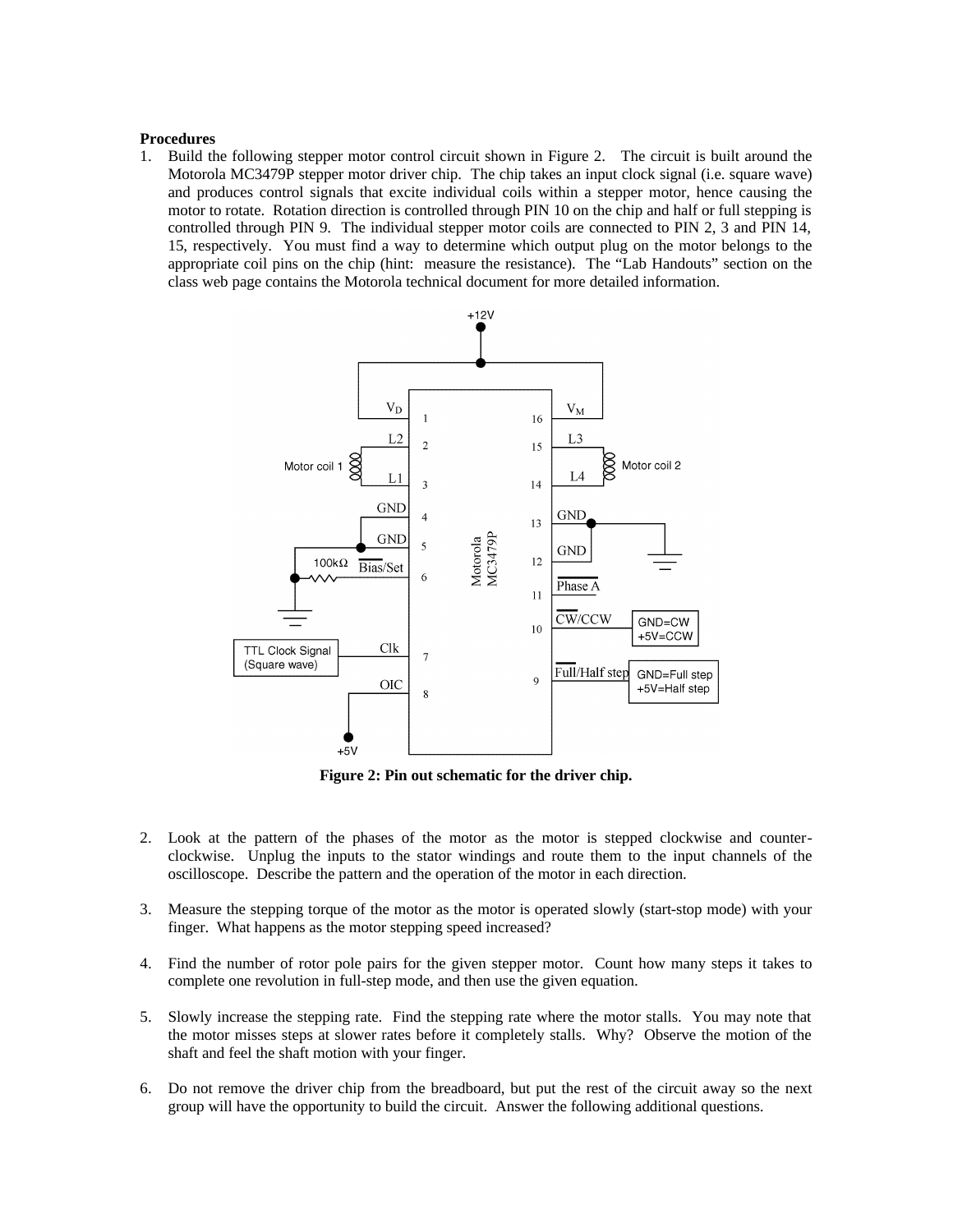## **Procedures**

1. Build the following stepper motor control circuit shown in Figure 2. The circuit is built around the Motorola MC3479P stepper motor driver chip. The chip takes an input clock signal (i.e. square wave) and produces control signals that excite individual coils within a stepper motor, hence causing the motor to rotate. Rotation direction is controlled through PIN 10 on the chip and half or full stepping is controlled through PIN 9. The individual stepper motor coils are connected to PIN 2, 3 and PIN 14, 15, respectively. You must find a way to determine which output plug on the motor belongs to the appropriate coil pins on the chip (hint: measure the resistance). The "Lab Handouts" section on the class web page contains the Motorola technical document for more detailed information.



**Figure 2: Pin out schematic for the driver chip.**

- 2. Look at the pattern of the phases of the motor as the motor is stepped clockwise and counterclockwise. Unplug the inputs to the stator windings and route them to the input channels of the oscilloscope. Describe the pattern and the operation of the motor in each direction.
- 3. Measure the stepping torque of the motor as the motor is operated slowly (start-stop mode) with your finger. What happens as the motor stepping speed increased?
- 4. Find the number of rotor pole pairs for the given stepper motor. Count how many steps it takes to complete one revolution in full-step mode, and then use the given equation.
- 5. Slowly increase the stepping rate. Find the stepping rate where the motor stalls. You may note that the motor misses steps at slower rates before it completely stalls. Why? Observe the motion of the shaft and feel the shaft motion with your finger.
- 6. Do not remove the driver chip from the breadboard, but put the rest of the circuit away so the next group will have the opportunity to build the circuit. Answer the following additional questions.